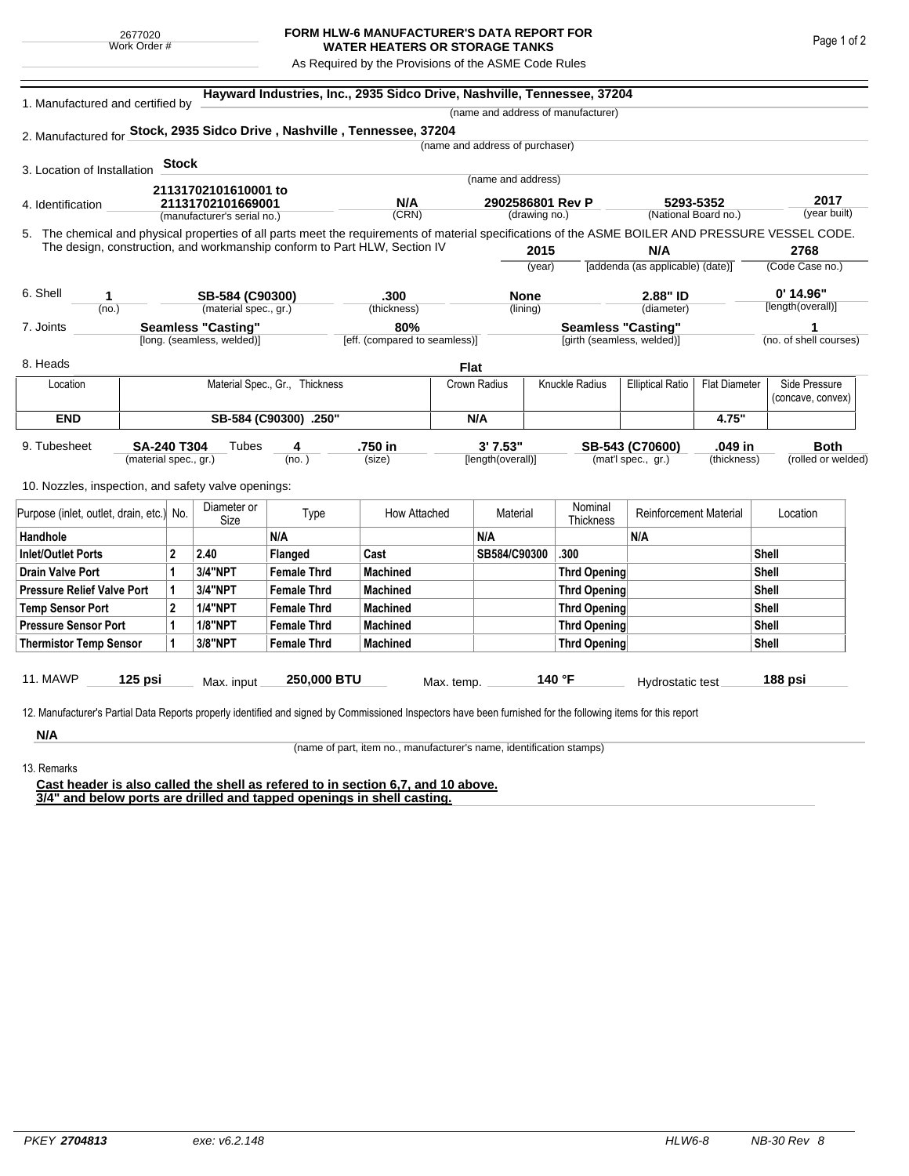## **FORM HLW-6 MANUFACTURER'S DATA REPORT FOR WATER HEATERS OR STORAGE TANKS**

As Required by the Provisions of the ASME Code Rules

| 1. Manufactured and certified by                                         |                                                                      |                     | Hayward Industries, Inc., 2935 Sidco Drive, Nashville, Tennessee, 37204<br>(name and address of manufacturer) |                                |                                      |               |                                                         |                               |                                  |                      |                                                                                                                                                    |  |
|--------------------------------------------------------------------------|----------------------------------------------------------------------|---------------------|---------------------------------------------------------------------------------------------------------------|--------------------------------|--------------------------------------|---------------|---------------------------------------------------------|-------------------------------|----------------------------------|----------------------|----------------------------------------------------------------------------------------------------------------------------------------------------|--|
| 2. Manufactured for Stock, 2935 Sidco Drive, Nashville, Tennessee, 37204 |                                                                      |                     |                                                                                                               |                                |                                      |               |                                                         |                               |                                  |                      |                                                                                                                                                    |  |
|                                                                          |                                                                      |                     |                                                                                                               |                                |                                      |               | (name and address of purchaser)                         |                               |                                  |                      |                                                                                                                                                    |  |
| 3. Location of Installation                                              |                                                                      | <b>Stock</b>        |                                                                                                               |                                |                                      |               |                                                         |                               |                                  |                      |                                                                                                                                                    |  |
|                                                                          |                                                                      |                     |                                                                                                               |                                |                                      |               | (name and address)                                      |                               |                                  |                      |                                                                                                                                                    |  |
|                                                                          |                                                                      |                     | 21131702101610001 to                                                                                          |                                | N/A                                  |               | 2902586801 Rev P                                        |                               |                                  | 5293-5352            | 2017                                                                                                                                               |  |
| 4. Identification                                                        | 21131702101669001<br>(manufacturer's serial no.)                     |                     |                                                                                                               | (CRN)                          |                                      | (drawing no.) |                                                         | (National Board no.)          |                                  | (year built)         |                                                                                                                                                    |  |
|                                                                          |                                                                      |                     |                                                                                                               |                                |                                      |               |                                                         |                               |                                  |                      | 5. The chemical and physical properties of all parts meet the requirements of material specifications of the ASME BOILER AND PRESSURE VESSEL CODE. |  |
|                                                                          |                                                                      |                     | The design, construction, and workmanship conform to Part HLW, Section IV                                     |                                |                                      |               | 2015                                                    |                               | N/A                              |                      | 2768                                                                                                                                               |  |
|                                                                          |                                                                      |                     |                                                                                                               |                                |                                      |               | (year)                                                  |                               | [addenda (as applicable) (date)] |                      | (Code Case no.)                                                                                                                                    |  |
|                                                                          |                                                                      |                     |                                                                                                               |                                |                                      |               |                                                         |                               |                                  |                      |                                                                                                                                                    |  |
| 6. Shell<br>1                                                            |                                                                      |                     | SB-584 (C90300)                                                                                               |                                | .300                                 |               | <b>None</b>                                             |                               | 2.88" ID                         |                      | $0'$ 14.96"<br>[length(overall)]                                                                                                                   |  |
| (no.)                                                                    |                                                                      |                     | (material spec., gr.)                                                                                         |                                | (thickness)                          |               | (lining)                                                |                               | (diameter)                       |                      |                                                                                                                                                    |  |
|                                                                          | 7. Joints<br><b>Seamless "Casting"</b><br>[long. (seamless, welded)] |                     |                                                                                                               |                                | 80%<br>[eff. (compared to seamless)] |               | <b>Seamless "Casting"</b><br>[girth (seamless, welded)] |                               |                                  |                      | 1<br>(no. of shell courses)                                                                                                                        |  |
|                                                                          |                                                                      |                     |                                                                                                               |                                |                                      |               |                                                         |                               |                                  |                      |                                                                                                                                                    |  |
| 8. Heads                                                                 |                                                                      |                     |                                                                                                               |                                |                                      | <b>Flat</b>   |                                                         |                               |                                  |                      |                                                                                                                                                    |  |
| Location                                                                 |                                                                      |                     |                                                                                                               | Material Spec., Gr., Thickness |                                      | Crown Radius  |                                                         | Knuckle Radius                | <b>Elliptical Ratio</b>          | <b>Flat Diameter</b> | Side Pressure                                                                                                                                      |  |
|                                                                          |                                                                      |                     |                                                                                                               |                                |                                      |               |                                                         |                               |                                  |                      | (concave, convex)                                                                                                                                  |  |
| <b>END</b>                                                               |                                                                      |                     |                                                                                                               | SB-584 (C90300) .250"          |                                      | N/A           |                                                         |                               |                                  | 4.75"                |                                                                                                                                                    |  |
| 9. Tubesheet                                                             | <b>SA-240 T304</b>                                                   |                     | Tubes                                                                                                         | 4                              | .750 in                              |               | 3'7.53"                                                 |                               | SB-543 (C70600)                  | .049 in              | <b>Both</b>                                                                                                                                        |  |
|                                                                          | (material spec., gr.)                                                |                     |                                                                                                               | (no. )                         | (size)                               |               | [length(overall)]                                       |                               | (mat'l spec., gr.)               | (thickness)          | (rolled or welded)                                                                                                                                 |  |
|                                                                          |                                                                      |                     |                                                                                                               |                                |                                      |               |                                                         |                               |                                  |                      |                                                                                                                                                    |  |
| 10. Nozzles, inspection, and safety valve openings:                      |                                                                      |                     |                                                                                                               |                                |                                      |               |                                                         |                               |                                  |                      |                                                                                                                                                    |  |
| Purpose (inlet, outlet, drain, etc.) No.                                 |                                                                      | Diameter or<br>Size | Type                                                                                                          | How Attached                   |                                      | Material      | Nominal<br>Thickness                                    | <b>Reinforcement Material</b> |                                  | Location             |                                                                                                                                                    |  |
| Handhole                                                                 |                                                                      |                     |                                                                                                               | N/A                            |                                      |               | N/A                                                     |                               | N/A                              |                      |                                                                                                                                                    |  |
| <b>Inlet/Outlet Ports</b>                                                |                                                                      | $\mathbf{2}$        | 2.40                                                                                                          | Flanged                        | Cast                                 |               | SB584/C90300                                            | .300                          |                                  |                      | Shell                                                                                                                                              |  |
| <b>Drain Valve Port</b>                                                  |                                                                      | 1                   | <b>3/4"NPT</b>                                                                                                | <b>Female Thrd</b>             | <b>Machined</b>                      |               |                                                         | <b>Thrd Opening</b>           |                                  |                      | <b>Shell</b>                                                                                                                                       |  |
| <b>Pressure Relief Valve Port</b>                                        |                                                                      | 1                   | 3/4"NPT                                                                                                       | <b>Female Thrd</b>             | <b>Machined</b>                      |               |                                                         | <b>Thrd Opening</b>           |                                  |                      | Shell                                                                                                                                              |  |
| <b>Temp Sensor Port</b>                                                  |                                                                      | $\mathbf{2}$        | <b>1/4"NPT</b>                                                                                                | <b>Female Thrd</b>             | <b>Machined</b>                      |               |                                                         | <b>Thrd Opening</b>           |                                  |                      | <b>Shell</b>                                                                                                                                       |  |
| <b>Pressure Sensor Port</b>                                              |                                                                      | 1                   | <b>1/8"NPT</b>                                                                                                | <b>Female Thrd</b>             | <b>Machined</b>                      |               |                                                         | <b>Thrd Opening</b>           |                                  |                      | Shell                                                                                                                                              |  |
| <b>Thermistor Temp Sensor</b>                                            |                                                                      | 1                   | 3/8"NPT                                                                                                       | <b>Female Thrd</b>             | <b>Machined</b>                      |               |                                                         | <b>Thrd Opening</b>           |                                  |                      | <b>Shell</b>                                                                                                                                       |  |
|                                                                          |                                                                      |                     |                                                                                                               |                                |                                      |               |                                                         |                               |                                  |                      |                                                                                                                                                    |  |
|                                                                          | 125 psi                                                              |                     |                                                                                                               | 250,000 BTU                    |                                      |               |                                                         | 140 °F                        |                                  |                      | 188 psi                                                                                                                                            |  |

**N/A** 13. Remarks

(name of part, item no., manufacturer's name, identification stamps)

**Cast header is also called the shell as refered to in section 6,7, and 10 above. 3/4" and below ports are drilled and tapped openings in shell casting.**